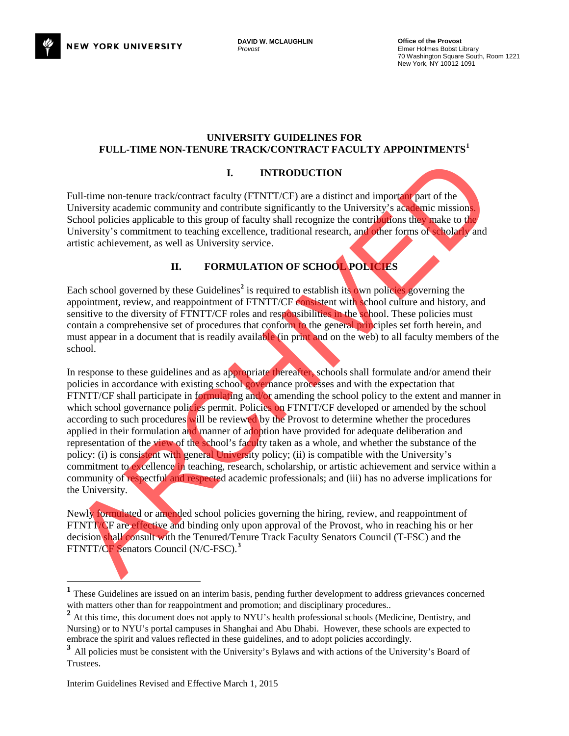

#### **UNIVERSITY GUIDELINES FOR FULL-TIME NON-TENURE TRACK/CONTRACT FACULTY APPOINTMENTS[1](#page-0-0)**

### **I. INTRODUCTION**

Full-time non-tenure track/contract faculty (FTNTT/CF) are a distinct and important part of the University academic community and contribute significantly to the University's academic missions. School policies applicable to this group of faculty shall recognize the contributions they make to the University's commitment to teaching excellence, traditional research, and other forms of scholarly and artistic achievement, as well as University service.

## **II. FORMULATION OF SCHOOL POLICIES**

Each school governed by these Guidelines<sup>2</sup> is required to establish its own policies governing the appointment, review, and reappointment of FTNTT/CF consistent with school culture and history, and sensitive to the diversity of FTNTT/CF roles and responsibilities in the school. These policies must contain a comprehensive set of procedures that conform to the general principles set forth herein, and must appear in a document that is readily available (in print and on the web) to all faculty members of the school.

In response to these guidelines and as appropriate thereafter, schools shall formulate and/or amend their policies in accordance with existing school governance processes and with the expectation that FTNTT/CF shall participate in formulating and/or amending the school policy to the extent and manner in which school governance policies permit. Policies on FTNTT/CF developed or amended by the school according to such procedures will be reviewed by the Provost to determine whether the procedures applied in their formulation and manner of adoption have provided for adequate deliberation and representation of the view of the school's faculty taken as a whole, and whether the substance of the policy: (i) is consistent with general University policy; (ii) is compatible with the University's commitment to excellence in teaching, research, scholarship, or artistic achievement and service within a community of respectful and respected academic professionals; and (iii) has no adverse implications for the University. **EXECUTE THE ACCONOMIC CONSUMPTED A**<br>
L'Altime non-tenure track/contract faculty (FINIT)CF) are a distinct and important part of the<br>
University accelering contenuity and contribute is girlicated to this group of faculty

Newly formulated or amended school policies governing the hiring, review, and reappointment of FTNTT/CF are effective and binding only upon approval of the Provost, who in reaching his or her decision shall consult with the Tenured/Tenure Track Faculty Senators Council (T-FSC) and the FTNTT/CF Senators Council (N/C-FSC). **3**

<span id="page-0-0"></span><sup>&</sup>lt;sup>1</sup> These Guidelines are issued on an interim basis, pending further development to address grievances concerned with matters other than for reappointment and promotion; and disciplinary procedures..

<span id="page-0-1"></span><sup>&</sup>lt;sup>2</sup> At this time, this document does not apply to NYU's health professional schools (Medicine, Dentistry, and Nursing) or to NYU's portal campuses in Shanghai and Abu Dhabi. However, these schools are expected to embrace the spirit and values reflected in these guidelines, and to adopt policies accordingly.

<span id="page-0-2"></span><sup>&</sup>lt;sup>3</sup>All policies must be consistent with the University's Bylaws and with actions of the University's Board of Trustees.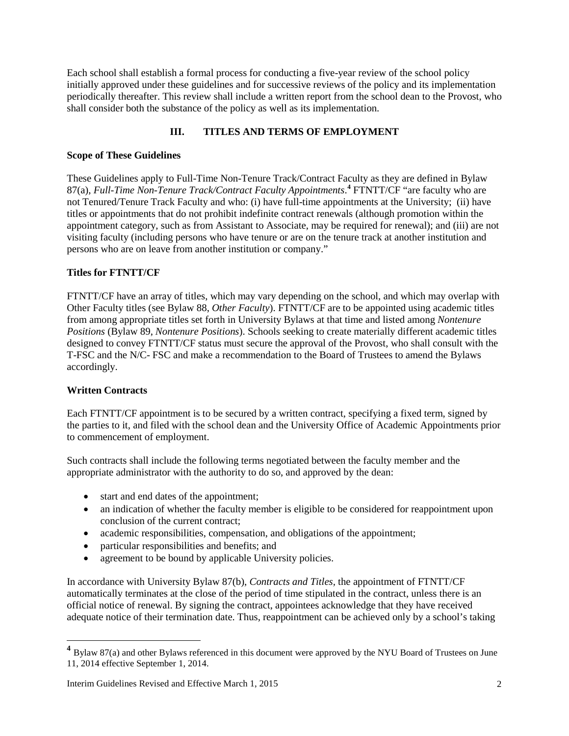Each school shall establish a formal process for conducting a five-year review of the school policy initially approved under these guidelines and for successive reviews of the policy and its implementation periodically thereafter. This review shall include a written report from the school dean to the Provost, who shall consider both the substance of the policy as well as its implementation.

## **III. TITLES AND TERMS OF EMPLOYMENT**

### **Scope of These Guidelines**

These Guidelines apply to Full-Time Non-Tenure Track/Contract Faculty as they are defined in Bylaw 87(a), *Full-Time Non-Tenure Track/Contract Faculty Appointments*. **[4](#page-1-0)** FTNTT/CF "are faculty who are not Tenured/Tenure Track Faculty and who: (i) have full-time appointments at the University; (ii) have titles or appointments that do not prohibit indefinite contract renewals (although promotion within the appointment category, such as from Assistant to Associate, may be required for renewal); and (iii) are not visiting faculty (including persons who have tenure or are on the tenure track at another institution and persons who are on leave from another institution or company."

## **Titles for FTNTT/CF**

FTNTT/CF have an array of titles, which may vary depending on the school, and which may overlap with Other Faculty titles (see Bylaw 88, *Other Faculty*). FTNTT/CF are to be appointed using academic titles from among appropriate titles set forth in University Bylaws at that time and listed among *Nontenure Positions* (Bylaw 89, *Nontenure Positions*). Schools seeking to create materially different academic titles designed to convey FTNTT/CF status must secure the approval of the Provost, who shall consult with the T-FSC and the N/C- FSC and make a recommendation to the Board of Trustees to amend the Bylaws accordingly.

### **Written Contracts**

l

Each FTNTT/CF appointment is to be secured by a written contract, specifying a fixed term, signed by the parties to it, and filed with the school dean and the University Office of Academic Appointments prior to commencement of employment.

Such contracts shall include the following terms negotiated between the faculty member and the appropriate administrator with the authority to do so, and approved by the dean:

- start and end dates of the appointment;
- an indication of whether the faculty member is eligible to be considered for reappointment upon conclusion of the current contract;
- academic responsibilities, compensation, and obligations of the appointment;
- particular responsibilities and benefits; and
- agreement to be bound by applicable University policies.

In accordance with University Bylaw 87(b), *Contracts and Titles,* the appointment of FTNTT/CF automatically terminates at the close of the period of time stipulated in the contract, unless there is an official notice of renewal. By signing the contract, appointees acknowledge that they have received adequate notice of their termination date. Thus, reappointment can be achieved only by a school's taking

<span id="page-1-0"></span>**<sup>4</sup>** Bylaw 87(a) and other Bylaws referenced in this document were approved by the NYU Board of Trustees on June 11, 2014 effective September 1, 2014.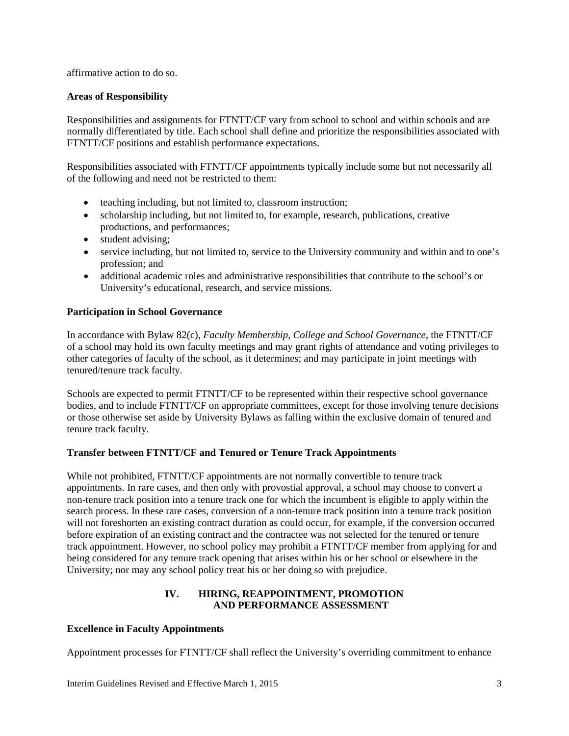affirmative action to do so.

### **Areas of Responsibility**

Responsibilities and assignments for FTNTT/CF vary from school to school and within schools and are normally differentiated by title. Each school shall define and prioritize the responsibilities associated with FTNTT/CF positions and establish performance expectations.

Responsibilities associated with FTNTT/CF appointments typically include some but not necessarily all of the following and need not be restricted to them:

- teaching including, but not limited to, classroom instruction;
- scholarship including, but not limited to, for example, research, publications, creative productions, and performances;
- student advising;
- service including, but not limited to, service to the University community and within and to one's profession; and
- additional academic roles and administrative responsibilities that contribute to the school's or University's educational, research, and service missions.

## **Participation in School Governance**

In accordance with Bylaw 82(c), *Faculty Membership, College and School Governance,* the FTNTT/CF of a school may hold its own faculty meetings and may grant rights of attendance and voting privileges to other categories of faculty of the school, as it determines; and may participate in joint meetings with tenured/tenure track faculty.

Schools are expected to permit FTNTT/CF to be represented within their respective school governance bodies, and to include FTNTT/CF on appropriate committees, except for those involving tenure decisions or those otherwise set aside by University Bylaws as falling within the exclusive domain of tenured and tenure track faculty.

### **Transfer between FTNTT/CF and Tenured or Tenure Track Appointments**

While not prohibited, FTNTT/CF appointments are not normally convertible to tenure track appointments. In rare cases, and then only with provostial approval, a school may choose to convert a non-tenure track position into a tenure track one for which the incumbent is eligible to apply within the search process. In these rare cases, conversion of a non-tenure track position into a tenure track position will not foreshorten an existing contract duration as could occur, for example, if the conversion occurred before expiration of an existing contract and the contractee was not selected for the tenured or tenure track appointment. However, no school policy may prohibit a FTNTT/CF member from applying for and being considered for any tenure track opening that arises within his or her school or elsewhere in the University; nor may any school policy treat his or her doing so with prejudice.

## **IV. HIRING, REAPPOINTMENT, PROMOTION AND PERFORMANCE ASSESSMENT**

### **Excellence in Faculty Appointments**

Appointment processes for FTNTT/CF shall reflect the University's overriding commitment to enhance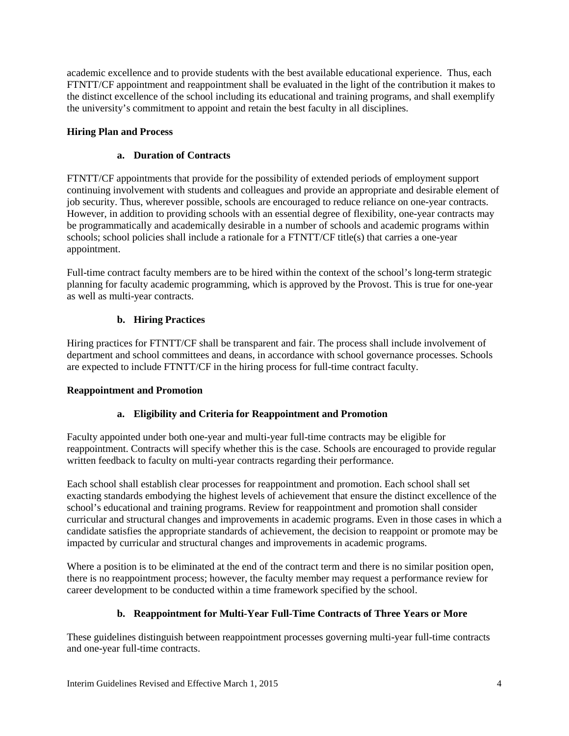academic excellence and to provide students with the best available educational experience. Thus, each FTNTT/CF appointment and reappointment shall be evaluated in the light of the contribution it makes to the distinct excellence of the school including its educational and training programs, and shall exemplify the university's commitment to appoint and retain the best faculty in all disciplines.

## **Hiring Plan and Process**

## **a. Duration of Contracts**

FTNTT/CF appointments that provide for the possibility of extended periods of employment support continuing involvement with students and colleagues and provide an appropriate and desirable element of job security. Thus, wherever possible, schools are encouraged to reduce reliance on one-year contracts. However, in addition to providing schools with an essential degree of flexibility, one-year contracts may be programmatically and academically desirable in a number of schools and academic programs within schools; school policies shall include a rationale for a FTNTT/CF title(s) that carries a one-year appointment.

Full-time contract faculty members are to be hired within the context of the school's long-term strategic planning for faculty academic programming, which is approved by the Provost. This is true for one-year as well as multi-year contracts.

## **b. Hiring Practices**

Hiring practices for FTNTT/CF shall be transparent and fair. The process shall include involvement of department and school committees and deans, in accordance with school governance processes. Schools are expected to include FTNTT/CF in the hiring process for full-time contract faculty.

## **Reappointment and Promotion**

## **a. Eligibility and Criteria for Reappointment and Promotion**

Faculty appointed under both one-year and multi-year full-time contracts may be eligible for reappointment. Contracts will specify whether this is the case. Schools are encouraged to provide regular written feedback to faculty on multi-year contracts regarding their performance.

Each school shall establish clear processes for reappointment and promotion. Each school shall set exacting standards embodying the highest levels of achievement that ensure the distinct excellence of the school's educational and training programs. Review for reappointment and promotion shall consider curricular and structural changes and improvements in academic programs. Even in those cases in which a candidate satisfies the appropriate standards of achievement, the decision to reappoint or promote may be impacted by curricular and structural changes and improvements in academic programs.

Where a position is to be eliminated at the end of the contract term and there is no similar position open, there is no reappointment process; however, the faculty member may request a performance review for career development to be conducted within a time framework specified by the school.

## **b. Reappointment for Multi-Year Full-Time Contracts of Three Years or More**

These guidelines distinguish between reappointment processes governing multi-year full-time contracts and one-year full-time contracts.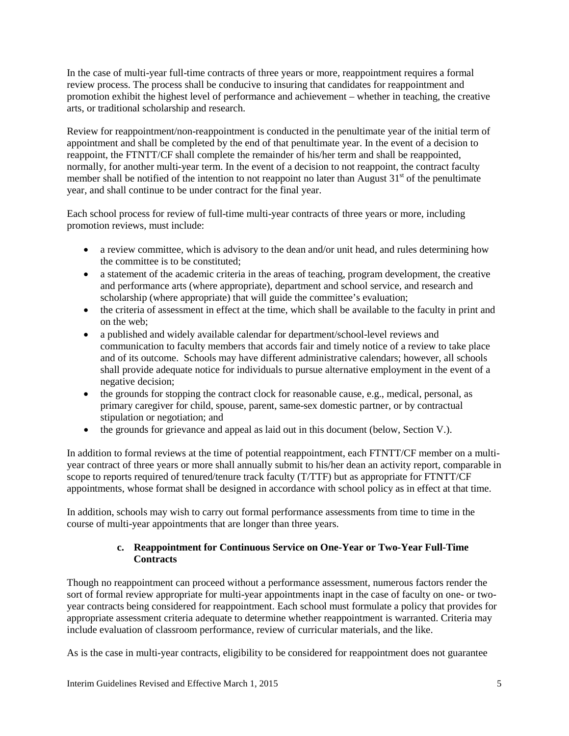In the case of multi-year full-time contracts of three years or more, reappointment requires a formal review process. The process shall be conducive to insuring that candidates for reappointment and promotion exhibit the highest level of performance and achievement – whether in teaching, the creative arts, or traditional scholarship and research.

Review for reappointment/non-reappointment is conducted in the penultimate year of the initial term of appointment and shall be completed by the end of that penultimate year. In the event of a decision to reappoint, the FTNTT/CF shall complete the remainder of his/her term and shall be reappointed, normally, for another multi-year term. In the event of a decision to not reappoint, the contract faculty member shall be notified of the intention to not reappoint no later than August  $31<sup>st</sup>$  of the penultimate year, and shall continue to be under contract for the final year.

Each school process for review of full-time multi-year contracts of three years or more, including promotion reviews, must include:

- a review committee, which is advisory to the dean and/or unit head, and rules determining how the committee is to be constituted;
- a statement of the academic criteria in the areas of teaching, program development, the creative and performance arts (where appropriate), department and school service, and research and scholarship (where appropriate) that will guide the committee's evaluation;
- the criteria of assessment in effect at the time, which shall be available to the faculty in print and on the web;
- a published and widely available calendar for department/school-level reviews and communication to faculty members that accords fair and timely notice of a review to take place and of its outcome. Schools may have different administrative calendars; however, all schools shall provide adequate notice for individuals to pursue alternative employment in the event of a negative decision;
- the grounds for stopping the contract clock for reasonable cause, e.g., medical, personal, as primary caregiver for child, spouse, parent, same-sex domestic partner, or by contractual stipulation or negotiation; and
- the grounds for grievance and appeal as laid out in this document (below, Section V.).

In addition to formal reviews at the time of potential reappointment, each FTNTT/CF member on a multiyear contract of three years or more shall annually submit to his/her dean an activity report, comparable in scope to reports required of tenured/tenure track faculty (T/TTF) but as appropriate for FTNTT/CF appointments, whose format shall be designed in accordance with school policy as in effect at that time.

In addition, schools may wish to carry out formal performance assessments from time to time in the course of multi-year appointments that are longer than three years.

## **c. Reappointment for Continuous Service on One-Year or Two-Year Full-Time Contracts**

Though no reappointment can proceed without a performance assessment, numerous factors render the sort of formal review appropriate for multi-year appointments inapt in the case of faculty on one- or twoyear contracts being considered for reappointment. Each school must formulate a policy that provides for appropriate assessment criteria adequate to determine whether reappointment is warranted. Criteria may include evaluation of classroom performance, review of curricular materials, and the like.

As is the case in multi-year contracts, eligibility to be considered for reappointment does not guarantee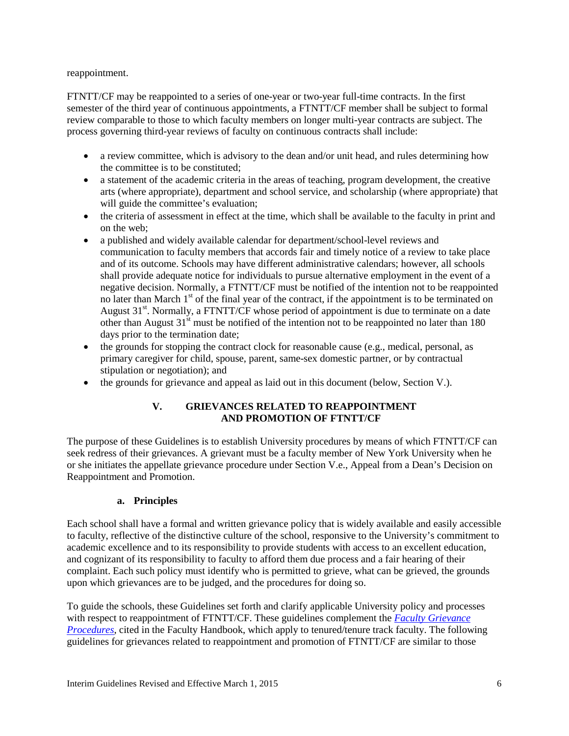### reappointment.

FTNTT/CF may be reappointed to a series of one-year or two-year full-time contracts. In the first semester of the third year of continuous appointments, a FTNTT/CF member shall be subject to formal review comparable to those to which faculty members on longer multi-year contracts are subject. The process governing third-year reviews of faculty on continuous contracts shall include:

- a review committee, which is advisory to the dean and/or unit head, and rules determining how the committee is to be constituted;
- a statement of the academic criteria in the areas of teaching, program development, the creative arts (where appropriate), department and school service, and scholarship (where appropriate) that will guide the committee's evaluation;
- the criteria of assessment in effect at the time, which shall be available to the faculty in print and on the web;
- a published and widely available calendar for department/school-level reviews and communication to faculty members that accords fair and timely notice of a review to take place and of its outcome. Schools may have different administrative calendars; however, all schools shall provide adequate notice for individuals to pursue alternative employment in the event of a negative decision. Normally, a FTNTT/CF must be notified of the intention not to be reappointed no later than March 1<sup>st</sup> of the final year of the contract, if the appointment is to be terminated on August  $31<sup>st</sup>$ . Normally, a FTNTT/CF whose period of appointment is due to terminate on a date other than August  $31<sup>st</sup>$  must be notified of the intention not to be reappointed no later than 180 days prior to the termination date;
- $\bullet$  the grounds for stopping the contract clock for reasonable cause (e.g., medical, personal, as primary caregiver for child, spouse, parent, same-sex domestic partner, or by contractual stipulation or negotiation); and
- the grounds for grievance and appeal as laid out in this document (below, Section V.).

## **V. GRIEVANCES RELATED TO REAPPOINTMENT AND PROMOTION OF FTNTT/CF**

The purpose of these Guidelines is to establish University procedures by means of which FTNTT/CF can seek redress of their grievances. A grievant must be a faculty member of New York University when he or she initiates the appellate grievance procedure under Section V.e., Appeal from a Dean's Decision on Reappointment and Promotion.

### **a. Principles**

Each school shall have a formal and written grievance policy that is widely available and easily accessible to faculty, reflective of the distinctive culture of the school, responsive to the University's commitment to academic excellence and to its responsibility to provide students with access to an excellent education, and cognizant of its responsibility to faculty to afford them due process and a fair hearing of their complaint. Each such policy must identify who is permitted to grieve, what can be grieved, the grounds upon which grievances are to be judged, and the procedures for doing so.

To guide the schools, these Guidelines set forth and clarify applicable University policy and processes with respect to reappointment of FTNTT/CF. These guidelines complement the *[Faculty Grievance](http://www.nyu.edu/faculty/governance-policies-and-procedures/faculty-handbook/the-faculty/other-faculty-policies/faculty-grievance-procedures.html)  [Procedures](http://www.nyu.edu/faculty/governance-policies-and-procedures/faculty-handbook/the-faculty/other-faculty-policies/faculty-grievance-procedures.html)*, cited in the Faculty Handbook, which apply to tenured/tenure track faculty. The following guidelines for grievances related to reappointment and promotion of FTNTT/CF are similar to those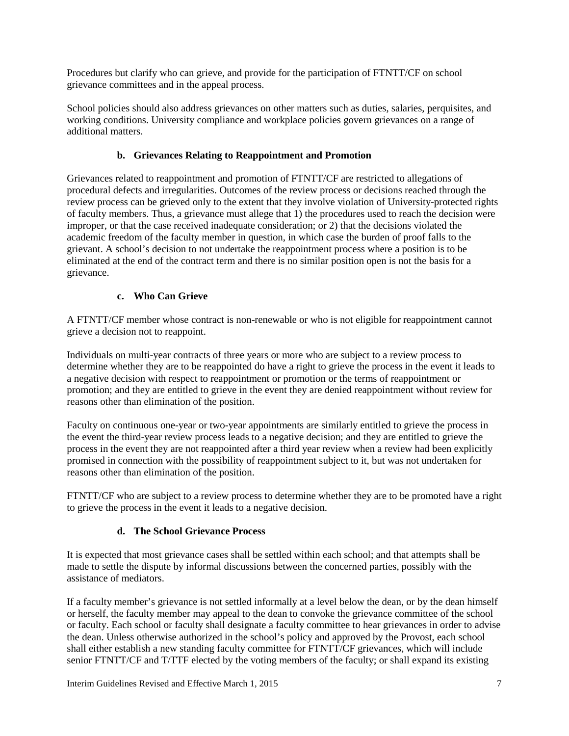Procedures but clarify who can grieve, and provide for the participation of FTNTT/CF on school grievance committees and in the appeal process.

School policies should also address grievances on other matters such as duties, salaries, perquisites, and working conditions. University compliance and workplace policies govern grievances on a range of additional matters.

## **b. Grievances Relating to Reappointment and Promotion**

Grievances related to reappointment and promotion of FTNTT/CF are restricted to allegations of procedural defects and irregularities. Outcomes of the review process or decisions reached through the review process can be grieved only to the extent that they involve violation of University-protected rights of faculty members. Thus, a grievance must allege that 1) the procedures used to reach the decision were improper, or that the case received inadequate consideration; or 2) that the decisions violated the academic freedom of the faculty member in question, in which case the burden of proof falls to the grievant. A school's decision to not undertake the reappointment process where a position is to be eliminated at the end of the contract term and there is no similar position open is not the basis for a grievance.

# **c. Who Can Grieve**

A FTNTT/CF member whose contract is non-renewable or who is not eligible for reappointment cannot grieve a decision not to reappoint.

Individuals on multi-year contracts of three years or more who are subject to a review process to determine whether they are to be reappointed do have a right to grieve the process in the event it leads to a negative decision with respect to reappointment or promotion or the terms of reappointment or promotion; and they are entitled to grieve in the event they are denied reappointment without review for reasons other than elimination of the position.

Faculty on continuous one-year or two-year appointments are similarly entitled to grieve the process in the event the third-year review process leads to a negative decision; and they are entitled to grieve the process in the event they are not reappointed after a third year review when a review had been explicitly promised in connection with the possibility of reappointment subject to it, but was not undertaken for reasons other than elimination of the position.

FTNTT/CF who are subject to a review process to determine whether they are to be promoted have a right to grieve the process in the event it leads to a negative decision.

# **d. The School Grievance Process**

It is expected that most grievance cases shall be settled within each school; and that attempts shall be made to settle the dispute by informal discussions between the concerned parties, possibly with the assistance of mediators.

If a faculty member's grievance is not settled informally at a level below the dean, or by the dean himself or herself, the faculty member may appeal to the dean to convoke the grievance committee of the school or faculty. Each school or faculty shall designate a faculty committee to hear grievances in order to advise the dean. Unless otherwise authorized in the school's policy and approved by the Provost, each school shall either establish a new standing faculty committee for FTNTT/CF grievances, which will include senior FTNTT/CF and T/TTF elected by the voting members of the faculty; or shall expand its existing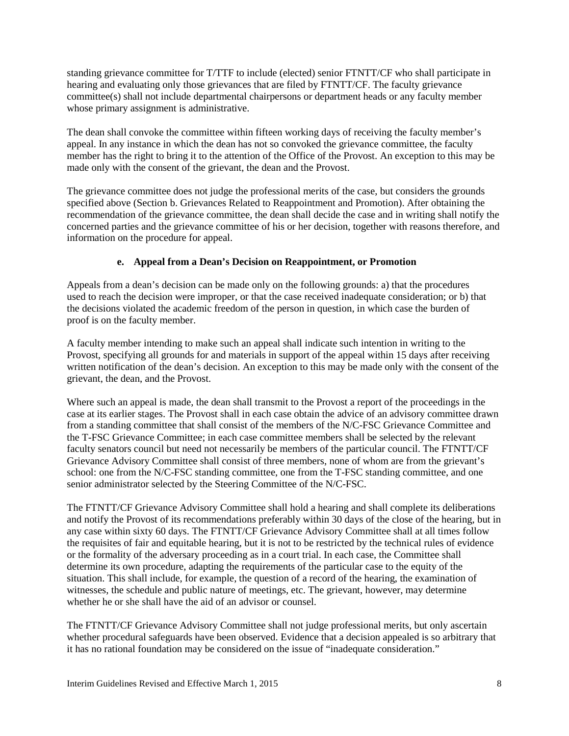standing grievance committee for T/TTF to include (elected) senior FTNTT/CF who shall participate in hearing and evaluating only those grievances that are filed by FTNTT/CF. The faculty grievance committee(s) shall not include departmental chairpersons or department heads or any faculty member whose primary assignment is administrative.

The dean shall convoke the committee within fifteen working days of receiving the faculty member's appeal. In any instance in which the dean has not so convoked the grievance committee, the faculty member has the right to bring it to the attention of the Office of the Provost. An exception to this may be made only with the consent of the grievant, the dean and the Provost.

The grievance committee does not judge the professional merits of the case, but considers the grounds specified above (Section b. Grievances Related to Reappointment and Promotion). After obtaining the recommendation of the grievance committee, the dean shall decide the case and in writing shall notify the concerned parties and the grievance committee of his or her decision, together with reasons therefore, and information on the procedure for appeal.

## **e. Appeal from a Dean's Decision on Reappointment, or Promotion**

Appeals from a dean's decision can be made only on the following grounds: a) that the procedures used to reach the decision were improper, or that the case received inadequate consideration; or b) that the decisions violated the academic freedom of the person in question, in which case the burden of proof is on the faculty member.

A faculty member intending to make such an appeal shall indicate such intention in writing to the Provost, specifying all grounds for and materials in support of the appeal within 15 days after receiving written notification of the dean's decision. An exception to this may be made only with the consent of the grievant, the dean, and the Provost.

Where such an appeal is made, the dean shall transmit to the Provost a report of the proceedings in the case at its earlier stages. The Provost shall in each case obtain the advice of an advisory committee drawn from a standing committee that shall consist of the members of the N/C-FSC Grievance Committee and the T-FSC Grievance Committee; in each case committee members shall be selected by the relevant faculty senators council but need not necessarily be members of the particular council. The FTNTT/CF Grievance Advisory Committee shall consist of three members, none of whom are from the grievant's school: one from the N/C-FSC standing committee, one from the T-FSC standing committee, and one senior administrator selected by the Steering Committee of the N/C-FSC.

The FTNTT/CF Grievance Advisory Committee shall hold a hearing and shall complete its deliberations and notify the Provost of its recommendations preferably within 30 days of the close of the hearing, but in any case within sixty 60 days. The FTNTT/CF Grievance Advisory Committee shall at all times follow the requisites of fair and equitable hearing, but it is not to be restricted by the technical rules of evidence or the formality of the adversary proceeding as in a court trial. In each case, the Committee shall determine its own procedure, adapting the requirements of the particular case to the equity of the situation. This shall include, for example, the question of a record of the hearing, the examination of witnesses, the schedule and public nature of meetings, etc. The grievant, however, may determine whether he or she shall have the aid of an advisor or counsel.

The FTNTT/CF Grievance Advisory Committee shall not judge professional merits, but only ascertain whether procedural safeguards have been observed. Evidence that a decision appealed is so arbitrary that it has no rational foundation may be considered on the issue of "inadequate consideration."